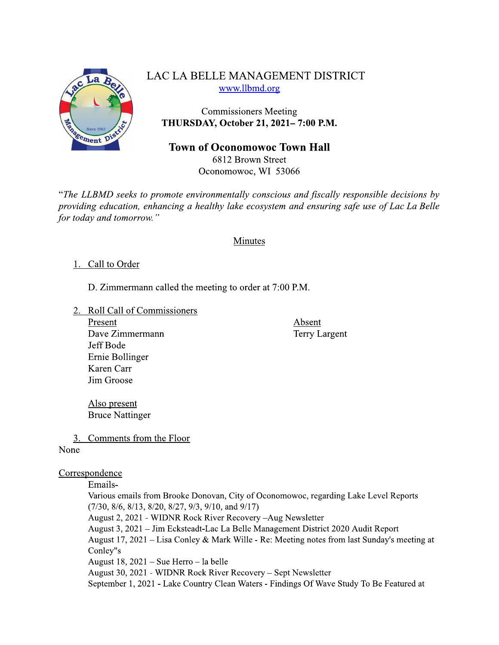

# LAC LA BELLE MANAGEMENT DISTRICT www.llbmd.org

**Commissioners Meeting** THURSDAY, October 21, 2021-7:00 P.M.

## **Town of Oconomowoc Town Hall**

6812 Brown Street Oconomowoc, WI 53066

"The LLBMD seeks to promote environmentally conscious and fiscally responsible decisions by providing education, enhancing a healthy lake ecosystem and ensuring safe use of Lac La Belle for today and tomorrow."

## Minutes

## 1. Call to Order

D. Zimmermann called the meeting to order at 7:00 P.M.

- 2. Roll Call of Commissioners
	- Present Dave Zimmermann Jeff Bode Ernie Bollinger Karen Carr Jim Groose

Absent **Terry Largent** 

Also present **Bruce Nattinger** 

3. Comments from the Floor

## None

## Correspondence

#### Emails-

Various emails from Brooke Donovan, City of Oconomowoc, regarding Lake Level Reports  $(7/30, 8/6, 8/13, 8/20, 8/27, 9/3, 9/10,$  and  $9/17)$ August 2, 2021 - WIDNR Rock River Recovery - Aug Newsletter August 3, 2021 - Jim Ecksteadt-Lac La Belle Management District 2020 Audit Report August 17, 2021 – Lisa Conley & Mark Wille - Re: Meeting notes from last Sunday's meeting at Conley"s August 18,  $2021 - S$ ue Herro - la belle August 30, 2021 - WIDNR Rock River Recovery – Sept Newsletter September 1, 2021 - Lake Country Clean Waters - Findings Of Wave Study To Be Featured at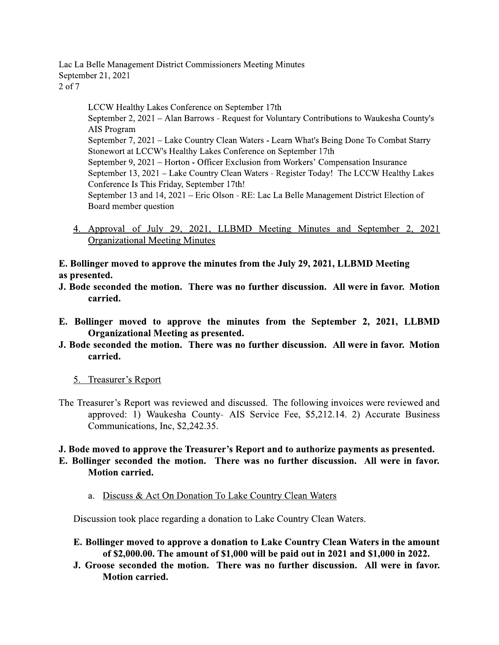Lac La Belle Management District Commissioners Meeting Minutes September 21, 2021  $2$  of  $7$ 

> LCCW Healthy Lakes Conference on September 17th September 2, 2021 – Alan Barrows - Request for Voluntary Contributions to Waukesha County's AIS Program September 7, 2021 – Lake Country Clean Waters - Learn What's Being Done To Combat Starry Stonewort at LCCW's Healthy Lakes Conference on September 17th September 9, 2021 – Horton - Officer Exclusion from Workers' Compensation Insurance September 13, 2021 - Lake Country Clean Waters - Register Today! The LCCW Healthy Lakes Conference Is This Friday, September 17th! September 13 and 14, 2021 – Eric Olson - RE: Lac La Belle Management District Election of Board member question

4. Approval of July 29, 2021, LLBMD Meeting Minutes and September 2, 2021 **Organizational Meeting Minutes** 

E. Bollinger moved to approve the minutes from the July 29, 2021, LLBMD Meeting as presented.

- J. Bode seconded the motion. There was no further discussion. All were in favor. Motion carried.
- E. Bollinger moved to approve the minutes from the September 2, 2021, LLBMD **Organizational Meeting as presented.**
- J. Bode seconded the motion. There was no further discussion. All were in favor. Motion carried.
	- 5. Treasurer's Report
- The Treasurer's Report was reviewed and discussed. The following invoices were reviewed and approved: 1) Waukesha County- AIS Service Fee, \$5,212.14. 2) Accurate Business Communications, Inc, \$2,242.35.

#### J. Bode moved to approve the Treasurer's Report and to authorize payments as presented. E. Bollinger seconded the motion. There was no further discussion. All were in favor. **Motion carried.**

a. Discuss & Act On Donation To Lake Country Clean Waters

Discussion took place regarding a donation to Lake Country Clean Waters.

- E. Bollinger moved to approve a donation to Lake Country Clean Waters in the amount of \$2,000.00. The amount of \$1,000 will be paid out in 2021 and \$1,000 in 2022.
- J. Groose seconded the motion. There was no further discussion. All were in favor. **Motion carried.**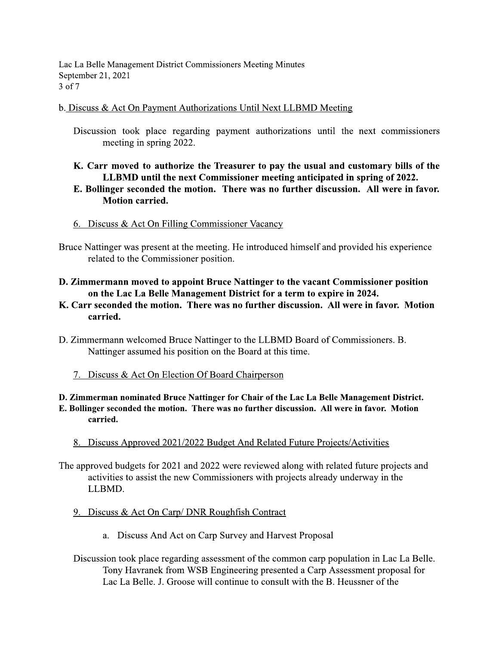Lac La Belle Management District Commissioners Meeting Minutes September 21, 2021 3 of 7

#### b. Discuss & Act On Payment Authorizations Until Next LLBMD Meeting

Discussion took place regarding payment authorizations until the next commissioners meeting in spring 2022.

## K. Carr moved to authorize the Treasurer to pay the usual and customary bills of the LLBMD until the next Commissioner meeting anticipated in spring of 2022. E. Bollinger seconded the motion. There was no further discussion. All were in favor.

# **Motion carried.**

## 6. Discuss & Act On Filling Commissioner Vacancy

Bruce Nattinger was present at the meeting. He introduced himself and provided his experience related to the Commissioner position.

- D. Zimmermann moved to appoint Bruce Nattinger to the vacant Commissioner position on the Lac La Belle Management District for a term to expire in 2024.
- K. Carr seconded the motion. There was no further discussion. All were in favor. Motion carried.
- D. Zimmermann welcomed Bruce Nattinger to the LLBMD Board of Commissioners. B. Nattinger assumed his position on the Board at this time.
	- 7. Discuss & Act On Election Of Board Chairperson

#### D. Zimmerman nominated Bruce Nattinger for Chair of the Lac La Belle Management District. E. Bollinger seconded the motion. There was no further discussion. All were in favor. Motion carried.

8. Discuss Approved 2021/2022 Budget And Related Future Projects/Activities

The approved budgets for 2021 and 2022 were reviewed along with related future projects and activities to assist the new Commissioners with projects already underway in the LLBMD.

- 9. Discuss & Act On Carp/DNR Roughfish Contract
	- a. Discuss And Act on Carp Survey and Harvest Proposal
- Discussion took place regarding assessment of the common carp population in Lac La Belle. Tony Havranek from WSB Engineering presented a Carp Assessment proposal for Lac La Belle. J. Groose will continue to consult with the B. Heussner of the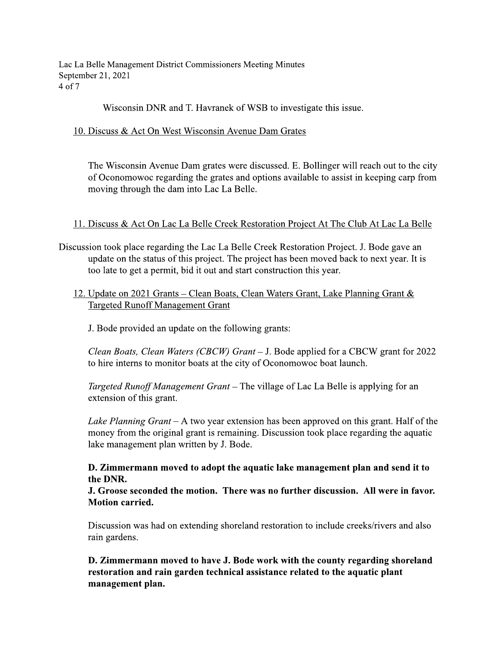Lac La Belle Management District Commissioners Meeting Minutes September 21, 2021 4 of 7

Wisconsin DNR and T. Havranek of WSB to investigate this issue.

10. Discuss & Act On West Wisconsin Avenue Dam Grates

The Wisconsin Avenue Dam grates were discussed. E. Bollinger will reach out to the city of Oconomowoc regarding the grates and options available to assist in keeping carp from moving through the dam into Lac La Belle.

## 11. Discuss & Act On Lac La Belle Creek Restoration Project At The Club At Lac La Belle

- Discussion took place regarding the Lac La Belle Creek Restoration Project. J. Bode gave an update on the status of this project. The project has been moved back to next year. It is too late to get a permit, bid it out and start construction this year.
	- 12. Update on 2021 Grants Clean Boats, Clean Waters Grant, Lake Planning Grant & **Targeted Runoff Management Grant**

J. Bode provided an update on the following grants:

Clean Boats, Clean Waters (CBCW) Grant – J. Bode applied for a CBCW grant for 2022 to hire interns to monitor boats at the city of Oconomowoc boat launch.

Targeted Runoff Management Grant – The village of Lac La Belle is applying for an extension of this grant.

Lake Planning Grant – A two year extension has been approved on this grant. Half of the money from the original grant is remaining. Discussion took place regarding the aquatic lake management plan written by J. Bode.

## D. Zimmermann moved to adopt the aquatic lake management plan and send it to the DNR.

J. Groose seconded the motion. There was no further discussion. All were in favor. **Motion carried.** 

Discussion was had on extending shoreland restoration to include creeks/rivers and also rain gardens.

D. Zimmermann moved to have J. Bode work with the county regarding shoreland restoration and rain garden technical assistance related to the aquatic plant management plan.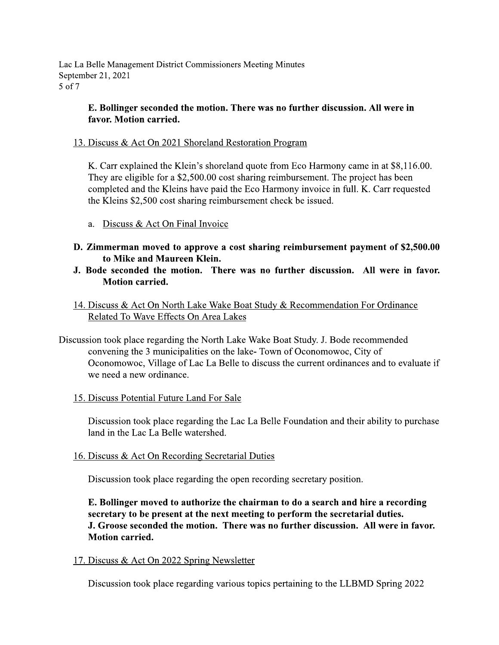Lac La Belle Management District Commissioners Meeting Minutes September 21, 2021 5 of 7

## E. Bollinger seconded the motion. There was no further discussion. All were in favor. Motion carried.

13. Discuss & Act On 2021 Shoreland Restoration Program

K. Carr explained the Klein's shoreland quote from Eco Harmony came in at \$8,116.00. They are eligible for a \$2,500.00 cost sharing reimbursement. The project has been completed and the Kleins have paid the Eco Harmony invoice in full. K. Carr requested the Kleins \$2,500 cost sharing reimbursement check be issued.

- a. Discuss & Act On Final Invoice
- D. Zimmerman moved to approve a cost sharing reimbursement payment of \$2,500.00 to Mike and Maureen Klein.
- J. Bode seconded the motion. There was no further discussion. All were in favor. **Motion carried.**
- 14. Discuss & Act On North Lake Wake Boat Study & Recommendation For Ordinance Related To Wave Effects On Area Lakes

Discussion took place regarding the North Lake Wake Boat Study. J. Bode recommended convening the 3 municipalities on the lake-Town of Oconomowoc, City of Oconomowoc, Village of Lac La Belle to discuss the current ordinances and to evaluate if we need a new ordinance.

15. Discuss Potential Future Land For Sale

Discussion took place regarding the Lac La Belle Foundation and their ability to purchase land in the Lac La Belle watershed.

16. Discuss & Act On Recording Secretarial Duties

Discussion took place regarding the open recording secretary position.

E. Bollinger moved to authorize the chairman to do a search and hire a recording secretary to be present at the next meeting to perform the secretarial duties. J. Groose seconded the motion. There was no further discussion. All were in favor. **Motion carried.** 

17. Discuss & Act On 2022 Spring Newsletter

Discussion took place regarding various topics pertaining to the LLBMD Spring 2022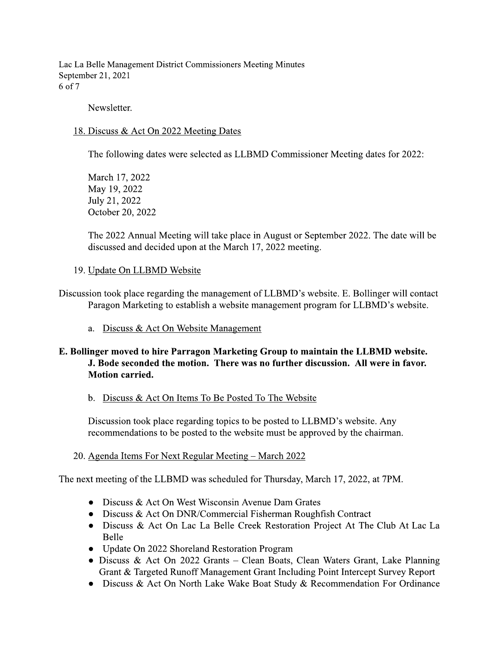Lac La Belle Management District Commissioners Meeting Minutes September 21, 2021 6 of 7

Newsletter.

#### 18. Discuss & Act On 2022 Meeting Dates

The following dates were selected as LLBMD Commissioner Meeting dates for 2022:

March 17, 2022 May 19, 2022 July 21, 2022 October 20, 2022

The 2022 Annual Meeting will take place in August or September 2022. The date will be discussed and decided upon at the March 17, 2022 meeting.

#### 19. Update On LLBMD Website

Discussion took place regarding the management of LLBMD's website. E. Bollinger will contact Paragon Marketing to establish a website management program for LLBMD's website.

a. Discuss & Act On Website Management

## E. Bollinger moved to hire Parragon Marketing Group to maintain the LLBMD website. J. Bode seconded the motion. There was no further discussion. All were in favor. **Motion carried.**

#### b. Discuss & Act On Items To Be Posted To The Website

Discussion took place regarding topics to be posted to LLBMD's website. Any recommendations to be posted to the website must be approved by the chairman.

#### 20. Agenda Items For Next Regular Meeting – March 2022

The next meeting of the LLBMD was scheduled for Thursday, March 17, 2022, at 7PM.

- Discuss & Act On West Wisconsin Avenue Dam Grates
- Discuss & Act On DNR/Commercial Fisherman Roughfish Contract
- Discuss & Act On Lac La Belle Creek Restoration Project At The Club At Lac La **Belle**
- Update On 2022 Shoreland Restoration Program
- Discuss & Act On 2022 Grants Clean Boats, Clean Waters Grant, Lake Planning Grant & Targeted Runoff Management Grant Including Point Intercept Survey Report
- Discuss & Act On North Lake Wake Boat Study & Recommendation For Ordinance